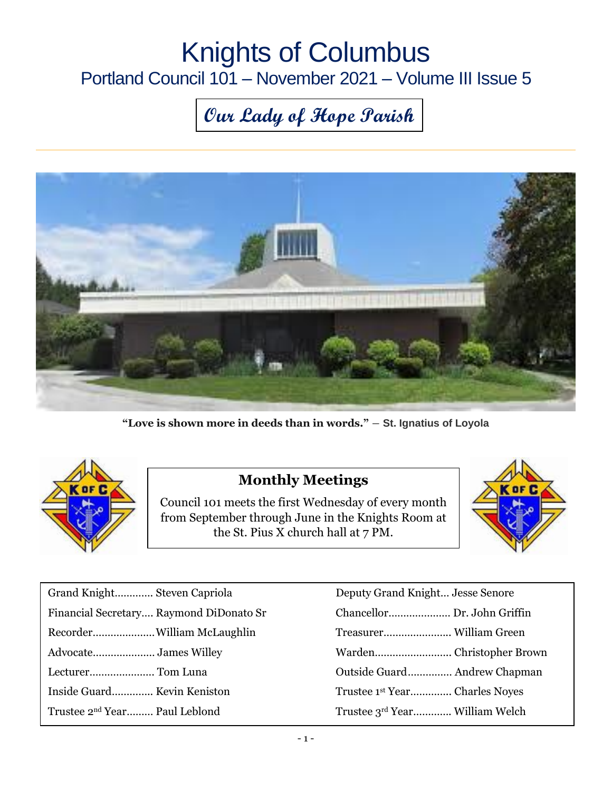# Knights of Columbus

### Portland Council 101 – November 2021 – Volume III Issue 5

## **Our Lady of Hope Parish**



**"Love is shown more in deeds than in words."** ― **St. Ignatius of Loyola**



#### **Monthly Meetings**

Council 101 meets the first Wednesday of every month from September through June in the Knights Room at the St. Pius X church hall at 7 PM.



| Grand Knight Steven Capriola              | Deputy Grand Knight Jesse Senore           |
|-------------------------------------------|--------------------------------------------|
| Financial Secretary Raymond DiDonato Sr   |                                            |
|                                           |                                            |
|                                           |                                            |
|                                           |                                            |
| Inside Guard Kevin Keniston               | Trustee 1 <sup>st</sup> Year Charles Noyes |
| Trustee 2 <sup>nd</sup> Year Paul Leblond | Trustee 3rd Year William Welch             |

| Deputy Grand Knight Jesse Senore          |
|-------------------------------------------|
| Chancellor Dr. John Griffin               |
|                                           |
|                                           |
| Outside Guard Andrew Chapman              |
| Trustee 1 <sup>st</sup> YearCharles Noves |
| Trustee 3rd Year William Welch            |
|                                           |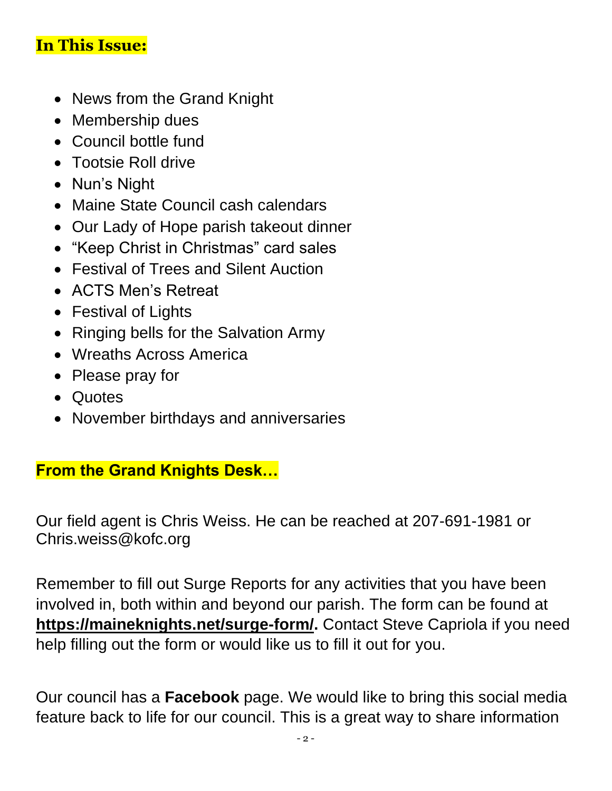#### **In This Issue:**

- News from the Grand Knight
- Membership dues
- Council bottle fund
- Tootsie Roll drive
- Nun's Night
- Maine State Council cash calendars
- Our Lady of Hope parish takeout dinner
- "Keep Christ in Christmas" card sales
- Festival of Trees and Silent Auction
- ACTS Men's Retreat
- Festival of Lights
- Ringing bells for the Salvation Army
- Wreaths Across America
- Please pray for
- Quotes
- November birthdays and anniversaries

#### **From the Grand Knights Desk…**

Our field agent is Chris Weiss. He can be reached at 207-691-1981 or [Chris.weiss@kofc.org](mailto:Chris.weiss@kofc.org)

Remember to fill out Surge Reports for any activities that you have been involved in, both within and beyond our parish. The form can be found at **[https://maineknights.net/surge-form/.](https://maineknights.net/surge-form/)** Contact Steve Capriola if you need help filling out the form or would like us to fill it out for you.

Our council has a **Facebook** page. We would like to bring this social media feature back to life for our council. This is a great way to share information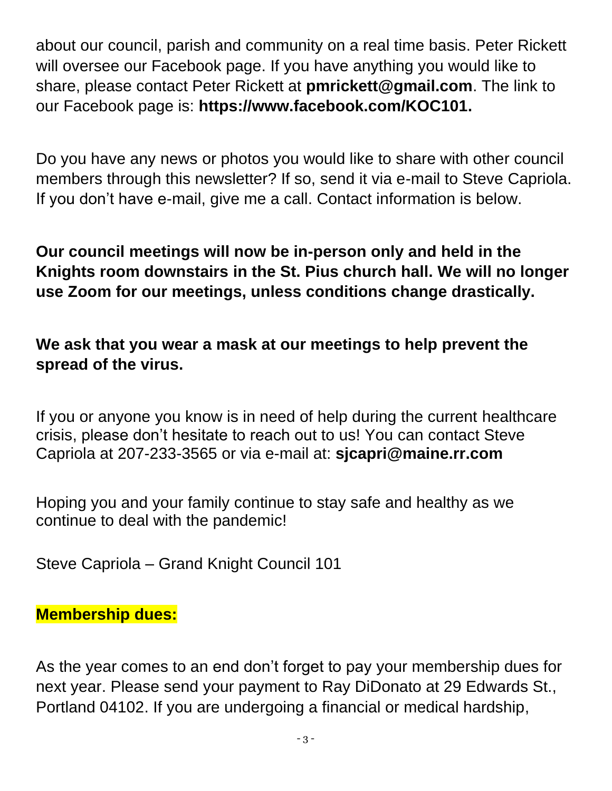about our council, parish and community on a real time basis. Peter Rickett will oversee our Facebook page. If you have anything you would like to share, please contact Peter Rickett at **[pmrickett@gmail.com](mailto:pmrickett@gmail.com)**. The link to our Facebook page is: **https://www.facebook.com/KOC101.**

Do you have any news or photos you would like to share with other council members through this newsletter? If so, send it via e-mail to Steve Capriola. If you don't have e-mail, give me a call. Contact information is below.

**Our council meetings will now be in-person only and held in the Knights room downstairs in the St. Pius church hall. We will no longer use Zoom for our meetings, unless conditions change drastically.**

**We ask that you wear a mask at our meetings to help prevent the spread of the virus.**

If you or anyone you know is in need of help during the current healthcare crisis, please don't hesitate to reach out to us! You can contact Steve Capriola at 207-233-3565 or via e-mail at: **[sjcapri@maine.rr.com](mailto:sjcapri@maine.rr.com)**

Hoping you and your family continue to stay safe and healthy as we continue to deal with the pandemic!

Steve Capriola – Grand Knight Council 101

#### **Membership dues:**

As the year comes to an end don't forget to pay your membership dues for next year. Please send your payment to Ray DiDonato at 29 Edwards St., Portland 04102. If you are undergoing a financial or medical hardship,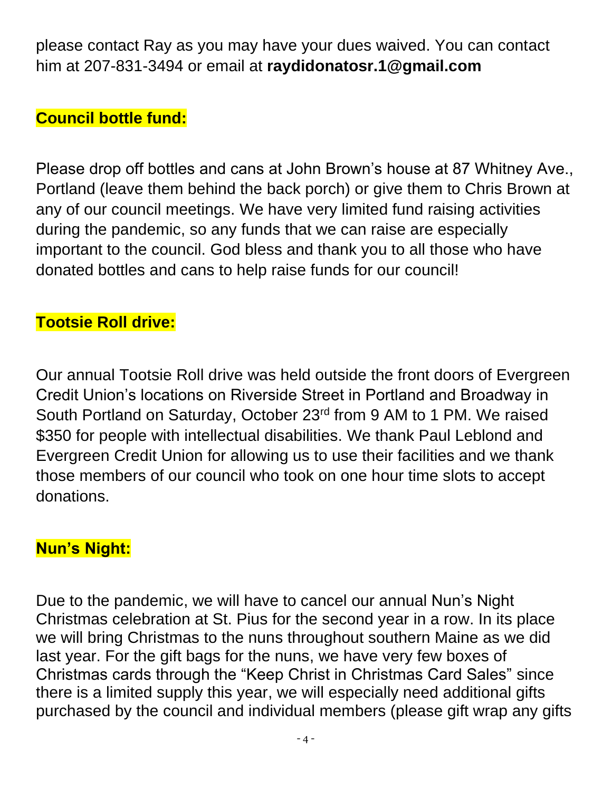please contact Ray as you may have your dues waived. You can contact him at 207-831-3494 or email at **[raydidonatosr.1@gmail.com](mailto:raydidonatosr.1@gmail.com)**

#### **Council bottle fund:**

Please drop off bottles and cans at John Brown's house at 87 Whitney Ave., Portland (leave them behind the back porch) or give them to Chris Brown at any of our council meetings. We have very limited fund raising activities during the pandemic, so any funds that we can raise are especially important to the council. God bless and thank you to all those who have donated bottles and cans to help raise funds for our council!

#### **Tootsie Roll drive:**

Our annual Tootsie Roll drive was held outside the front doors of Evergreen Credit Union's locations on Riverside Street in Portland and Broadway in South Portland on Saturday, October 23rd from 9 AM to 1 PM. We raised \$350 for people with intellectual disabilities. We thank Paul Leblond and Evergreen Credit Union for allowing us to use their facilities and we thank those members of our council who took on one hour time slots to accept donations.

#### **Nun's Night:**

Due to the pandemic, we will have to cancel our annual Nun's Night Christmas celebration at St. Pius for the second year in a row. In its place we will bring Christmas to the nuns throughout southern Maine as we did last year. For the gift bags for the nuns, we have very few boxes of Christmas cards through the "Keep Christ in Christmas Card Sales" since there is a limited supply this year, we will especially need additional gifts purchased by the council and individual members (please gift wrap any gifts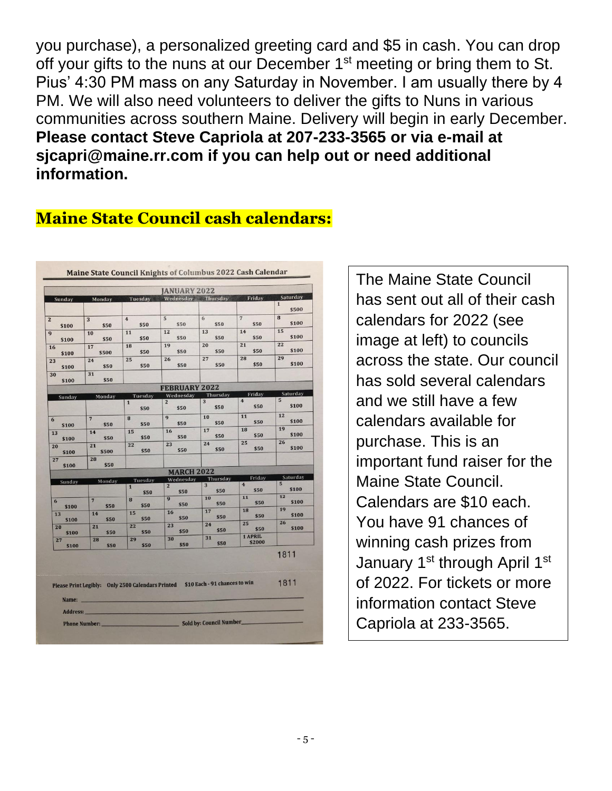you purchase), a personalized greeting card and \$5 in cash. You can drop off your gifts to the nuns at our December 1<sup>st</sup> meeting or bring them to St. Pius' 4:30 PM mass on any Saturday in November. I am usually there by 4 PM. We will also need volunteers to deliver the gifts to Nuns in various communities across southern Maine. Delivery will begin in early December. **Please contact Steve Capriola at 207-233-3565 or via e-mail at [sjcapri@maine.rr.com](mailto:sjcapri@maine.rr.com) if you can help out or need additional information.**

#### **Maine State Council cash calendars:**

|             |                        |                                                   | <b>JANUARY 2022</b>         |                               |                          |                             |
|-------------|------------------------|---------------------------------------------------|-----------------------------|-------------------------------|--------------------------|-----------------------------|
| Sunday      | Monday                 | Tuesday                                           | Wednesday Thursday          |                               | Friday                   | Saturday                    |
|             |                        |                                                   |                             |                               |                          | $\mathbf{1}$<br>\$500       |
|             | 3                      | $\overline{4}$                                    | 5                           | 6                             | $\overline{7}$           | 8                           |
| \$100       | \$50                   | \$50                                              | \$50                        | \$50                          | \$50                     | \$100                       |
| \$100       | 10<br>\$50             | 11<br>\$50                                        | 12<br>\$50                  | 13<br>\$50                    | 14<br>\$50               | 15<br>\$100                 |
| 16          | 17                     | 18                                                | 19                          | 20<br>\$50                    | 21<br>\$50               | 22<br>\$100                 |
| \$100       | \$500                  | \$50<br>25                                        | \$50<br>26                  | 27                            | 28                       | 29                          |
| 23<br>\$100 | 24<br>\$50             | \$50                                              | \$50                        | \$50                          | \$50                     | \$100                       |
| 30          | 31                     |                                                   |                             |                               |                          |                             |
| \$100       | \$50                   |                                                   | <b>FEBRUARY 2022</b>        |                               |                          |                             |
|             |                        | Tuesday                                           | Wednesday                   | Thursday                      | Friday                   | Saturday                    |
| Sunday      | Monday                 | $\mathbf{1}$<br>\$50                              | $\overline{2}$<br>\$50      | 3<br>\$50                     | $\overline{4}$<br>\$50   | 5<br>\$100                  |
|             | $\overline{7}$         | 8                                                 | 9<br>\$50                   | 10<br>\$50                    | 11<br>\$50               | 12<br>\$100                 |
| \$100<br>13 | \$50<br>14             | \$50<br>15                                        | 16                          | 17                            | 18                       | 19                          |
| \$100       | \$50                   | \$50                                              | \$50                        | \$50                          | \$50                     | \$100<br>26                 |
| 20<br>\$100 | 21<br>\$500            | 22<br>\$50                                        | 23<br>\$50                  | 24<br>\$50                    | 25<br>\$50               | \$100                       |
| 27<br>\$100 | 28<br>\$50             |                                                   |                             |                               |                          |                             |
|             |                        |                                                   | <b>MARCH 2022</b>           |                               |                          |                             |
| Sunday      | Monday                 | Tuesday                                           | Wednesday<br>$\overline{2}$ | Thursday<br>$\overline{3}$    | Friday<br>$\overline{4}$ | Saturday<br>$5\overline{5}$ |
|             |                        | $\mathbf{1}$<br>\$50                              | \$50                        | \$50                          | \$50                     | \$100                       |
| 6<br>\$100  | $\overline{7}$<br>\$50 | 8<br>\$50                                         | 9<br>\$50                   | 10<br>\$50                    | 11<br>\$50               | 12<br>\$100                 |
| 13          | 14                     | 15                                                | 16                          | 17<br>\$50                    | 18<br>\$50               | 19<br>\$100                 |
| \$100       | \$50<br>21             | \$50<br>22                                        | \$50<br>23                  | 24                            | 25                       | 26                          |
| 20<br>\$100 | \$50                   | \$50                                              | \$50                        | \$50                          | \$50                     | \$100                       |
| 27<br>\$100 | 28<br>\$50             | 29<br>\$50                                        | 30<br>\$50                  | 31<br>\$50                    | 1 APRIL<br>\$2000        |                             |
|             |                        |                                                   |                             |                               |                          | 1811                        |
| Name:       |                        | Please Print Legibly: Only 2500 Calendars Printed |                             | \$10 Each - 91 chances to win |                          | 1811                        |

The Maine State Council has sent out all of their cash calendars for 2022 (see image at left) to councils across the state. Our council has sold several calendars and we still have a few calendars available for purchase. This is an important fund raiser for the Maine State Council. Calendars are \$10 each. You have 91 chances of winning cash prizes from January 1<sup>st</sup> through April 1<sup>st</sup> of 2022. For tickets or more information contact Steve Capriola at 233-3565.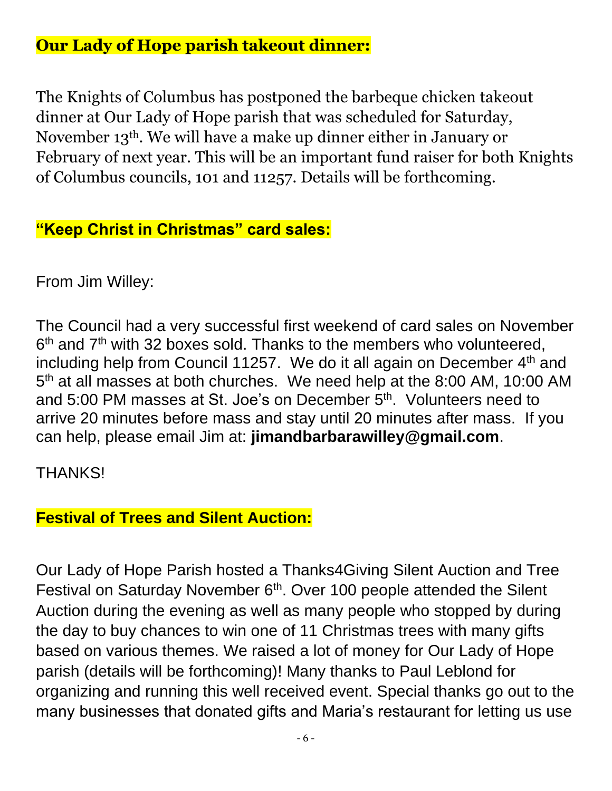#### **Our Lady of Hope parish takeout dinner:**

The Knights of Columbus has postponed the barbeque chicken takeout dinner at Our Lady of Hope parish that was scheduled for Saturday, November 13th. We will have a make up dinner either in January or February of next year. This will be an important fund raiser for both Knights of Columbus councils, 101 and 11257. Details will be forthcoming.

#### **"Keep Christ in Christmas" card sales:**

From Jim Willey:

The Council had a very successful first weekend of card sales on November 6<sup>th</sup> and 7<sup>th</sup> with 32 boxes sold. Thanks to the members who volunteered, including help from Council 11257. We do it all again on December 4<sup>th</sup> and 5<sup>th</sup> at all masses at both churches. We need help at the 8:00 AM, 10:00 AM and 5:00 PM masses at St. Joe's on December 5<sup>th</sup>. Volunteers need to arrive 20 minutes before mass and stay until 20 minutes after mass. If you can help, please email Jim at: **jimandbarbarawilley@gmail.com**.

THANKS!

#### **Festival of Trees and Silent Auction:**

Our Lady of Hope Parish hosted a Thanks4Giving Silent Auction and Tree Festival on Saturday November 6<sup>th</sup>. Over 100 people attended the Silent Auction during the evening as well as many people who stopped by during the day to buy chances to win one of 11 Christmas trees with many gifts based on various themes. We raised a lot of money for Our Lady of Hope parish (details will be forthcoming)! Many thanks to Paul Leblond for organizing and running this well received event. Special thanks go out to the many businesses that donated gifts and Maria's restaurant for letting us use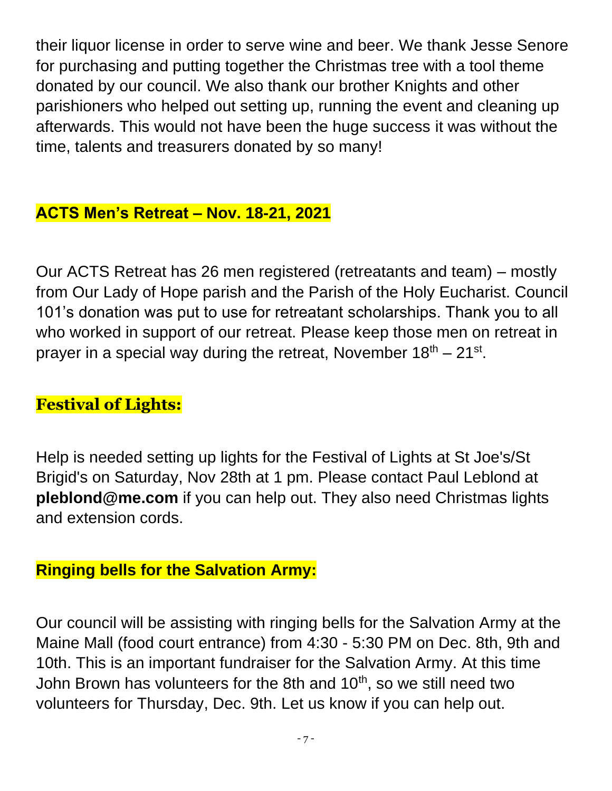their liquor license in order to serve wine and beer. We thank Jesse Senore for purchasing and putting together the Christmas tree with a tool theme donated by our council. We also thank our brother Knights and other parishioners who helped out setting up, running the event and cleaning up afterwards. This would not have been the huge success it was without the time, talents and treasurers donated by so many!

#### **ACTS Men's Retreat – Nov. 18-21, 2021**

Our ACTS Retreat has 26 men registered (retreatants and team) – mostly from Our Lady of Hope parish and the Parish of the Holy Eucharist. Council 101's donation was put to use for retreatant scholarships. Thank you to all who worked in support of our retreat. Please keep those men on retreat in prayer in a special way during the retreat, November  $18<sup>th</sup> - 21<sup>st</sup>$ .

#### **Festival of Lights:**

Help is needed setting up lights for the Festival of Lights at St Joe's/St Brigid's on Saturday, Nov 28th at 1 pm. Please contact Paul Leblond at **pleblond@me.com** if you can help out. They also need Christmas lights and extension cords.

#### **Ringing bells for the Salvation Army:**

Our council will be assisting with ringing bells for the Salvation Army at the Maine Mall (food court entrance) from 4:30 - 5:30 PM on Dec. 8th, 9th and 10th. This is an important fundraiser for the Salvation Army. At this time John Brown has volunteers for the 8th and 10<sup>th</sup>, so we still need two volunteers for Thursday, Dec. 9th. Let us know if you can help out.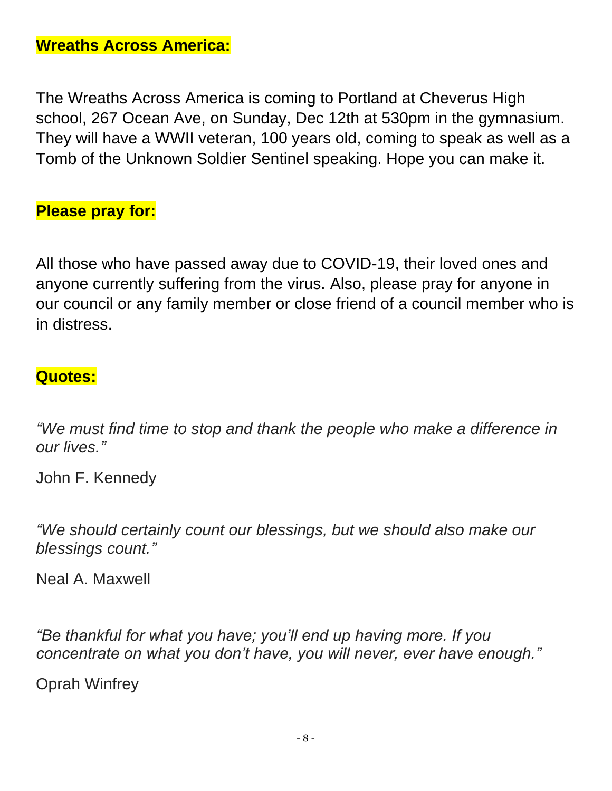The Wreaths Across America is coming to Portland at Cheverus High school, 267 Ocean Ave, on Sunday, Dec 12th at 530pm in the gymnasium. They will have a WWII veteran, 100 years old, coming to speak as well as a Tomb of the Unknown Soldier Sentinel speaking. Hope you can make it.

#### **Please pray for:**

All those who have passed away due to COVID-19, their loved ones and anyone currently suffering from the virus. Also, please pray for anyone in our council or any family member or close friend of a council member who is in distress.

#### **Quotes:**

*"We must find time to stop and thank the people who make a difference in our lives."*

John F. Kennedy

*"We should certainly count our blessings, but we should also make our blessings count."*

Neal A. Maxwell

*"Be thankful for what you have; you'll end up having more. If you concentrate on what you don't have, you will never, ever have enough."*

Oprah Winfrey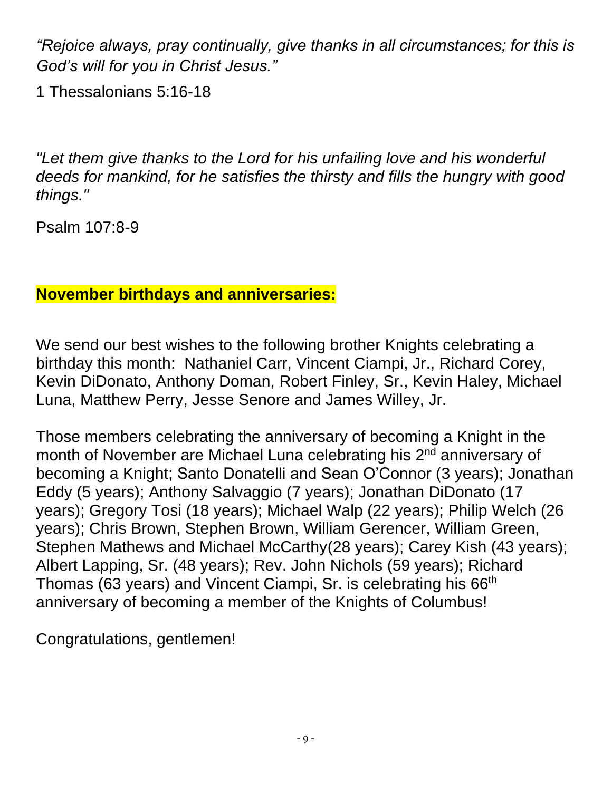*"Rejoice always, pray continually, give thanks in all circumstances; for this is God's will for you in Christ Jesus."*

1 Thessalonians 5:16-18

*"Let them give thanks to the Lord for his unfailing love and his wonderful deeds for mankind, for he satisfies the thirsty and fills the hungry with good things."*

Psalm 107:8-9

#### **November birthdays and anniversaries:**

We send our best wishes to the following brother Knights celebrating a birthday this month: Nathaniel Carr, Vincent Ciampi, Jr., Richard Corey, Kevin DiDonato, Anthony Doman, Robert Finley, Sr., Kevin Haley, Michael Luna, Matthew Perry, Jesse Senore and James Willey, Jr.

Those members celebrating the anniversary of becoming a Knight in the month of November are Michael Luna celebrating his 2<sup>nd</sup> anniversary of becoming a Knight; Santo Donatelli and Sean O'Connor (3 years); Jonathan Eddy (5 years); Anthony Salvaggio (7 years); Jonathan DiDonato (17 years); Gregory Tosi (18 years); Michael Walp (22 years); Philip Welch (26 years); Chris Brown, Stephen Brown, William Gerencer, William Green, Stephen Mathews and Michael McCarthy(28 years); Carey Kish (43 years); Albert Lapping, Sr. (48 years); Rev. John Nichols (59 years); Richard Thomas (63 years) and Vincent Ciampi, Sr. is celebrating his 66<sup>th</sup> anniversary of becoming a member of the Knights of Columbus!

Congratulations, gentlemen!